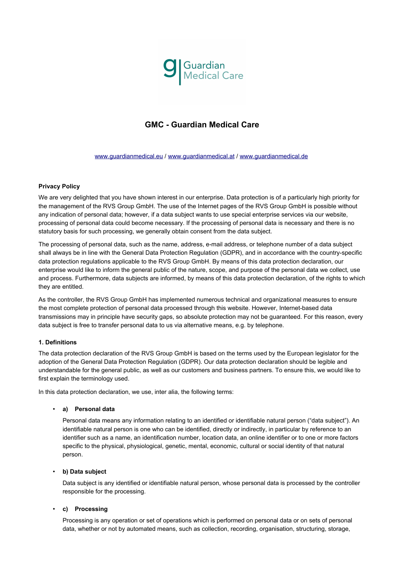

# **GMC - Guardian Medical Care**

[www.guardianmedical.eu](http://www.guardianmedical.eu/) / [www.guardianmedical.at](http://www.guardianmedical.at/) / [www.guardianmedical.de](http://www.guardianmedical.de/)

#### **Privacy Policy**

We are very delighted that you have shown interest in our enterprise. Data protection is of a particularly high priority for the management of the RVS Group GmbH. The use of the Internet pages of the RVS Group GmbH is possible without any indication of personal data; however, if a data subject wants to use special enterprise services via our website, processing of personal data could become necessary. If the processing of personal data is necessary and there is no statutory basis for such processing, we generally obtain consent from the data subject.

The processing of personal data, such as the name, address, e-mail address, or telephone number of a data subject shall always be in line with the General Data Protection Regulation (GDPR), and in accordance with the country-specific data protection regulations applicable to the RVS Group GmbH. By means of this data protection declaration, our enterprise would like to inform the general public of the nature, scope, and purpose of the personal data we collect, use and process. Furthermore, data subjects are informed, by means of this data protection declaration, of the rights to which they are entitled.

As the controller, the RVS Group GmbH has implemented numerous technical and organizational measures to ensure the most complete protection of personal data processed through this website. However, Internet-based data transmissions may in principle have security gaps, so absolute protection may not be guaranteed. For this reason, every data subject is free to transfer personal data to us via alternative means, e.g. by telephone.

#### **1. Definitions**

The data protection declaration of the RVS Group GmbH is based on the terms used by the European legislator for the adoption of the General Data Protection Regulation (GDPR). Our data protection declaration should be legible and understandable for the general public, as well as our customers and business partners. To ensure this, we would like to first explain the terminology used.

In this data protection declaration, we use, inter alia, the following terms:

#### • **a) Personal data**

Personal data means any information relating to an identified or identifiable natural person ("data subject"). An identifiable natural person is one who can be identified, directly or indirectly, in particular by reference to an identifier such as a name, an identification number, location data, an online identifier or to one or more factors specific to the physical, physiological, genetic, mental, economic, cultural or social identity of that natural person.

#### • **b) Data subject**

Data subject is any identified or identifiable natural person, whose personal data is processed by the controller responsible for the processing.

#### • **c) Processing**

Processing is any operation or set of operations which is performed on personal data or on sets of personal data, whether or not by automated means, such as collection, recording, organisation, structuring, storage,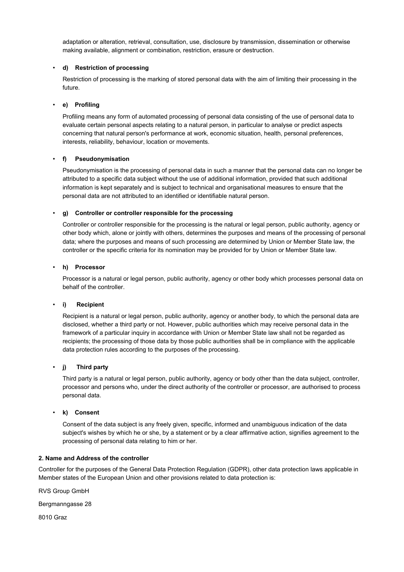adaptation or alteration, retrieval, consultation, use, disclosure by transmission, dissemination or otherwise making available, alignment or combination, restriction, erasure or destruction.

## • **d) Restriction of processing**

Restriction of processing is the marking of stored personal data with the aim of limiting their processing in the future.

# • **e) Profiling**

Profiling means any form of automated processing of personal data consisting of the use of personal data to evaluate certain personal aspects relating to a natural person, in particular to analyse or predict aspects concerning that natural person's performance at work, economic situation, health, personal preferences, interests, reliability, behaviour, location or movements.

# • **f) Pseudonymisation**

Pseudonymisation is the processing of personal data in such a manner that the personal data can no longer be attributed to a specific data subject without the use of additional information, provided that such additional information is kept separately and is subject to technical and organisational measures to ensure that the personal data are not attributed to an identified or identifiable natural person.

## • **g) Controller or controller responsible for the processing**

Controller or controller responsible for the processing is the natural or legal person, public authority, agency or other body which, alone or jointly with others, determines the purposes and means of the processing of personal data; where the purposes and means of such processing are determined by Union or Member State law, the controller or the specific criteria for its nomination may be provided for by Union or Member State law.

# • **h) Processor**

Processor is a natural or legal person, public authority, agency or other body which processes personal data on behalf of the controller.

## • **i) Recipient**

Recipient is a natural or legal person, public authority, agency or another body, to which the personal data are disclosed, whether a third party or not. However, public authorities which may receive personal data in the framework of a particular inquiry in accordance with Union or Member State law shall not be regarded as recipients; the processing of those data by those public authorities shall be in compliance with the applicable data protection rules according to the purposes of the processing.

## • **j) Third party**

Third party is a natural or legal person, public authority, agency or body other than the data subject, controller, processor and persons who, under the direct authority of the controller or processor, are authorised to process personal data.

## • **k) Consent**

Consent of the data subject is any freely given, specific, informed and unambiguous indication of the data subject's wishes by which he or she, by a statement or by a clear affirmative action, signifies agreement to the processing of personal data relating to him or her.

## **2. Name and Address of the controller**

Controller for the purposes of the General Data Protection Regulation (GDPR), other data protection laws applicable in Member states of the European Union and other provisions related to data protection is:

RVS Group GmbH

Bergmanngasse 28

8010 Graz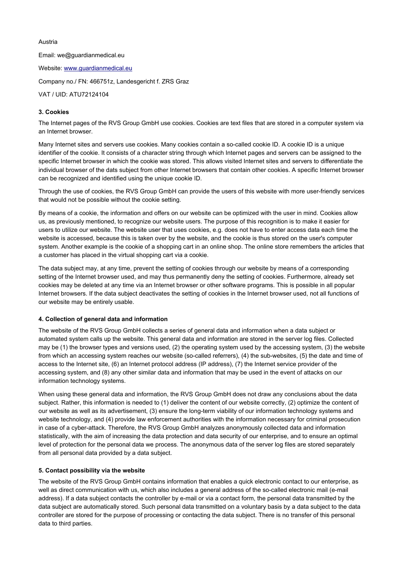## Austria

Email: we@guardianmedical.eu Website: [www.guardianmedical.eu](http://www.guardianmedical.eu/) Company no./ FN: 466751z, Landesgericht f. ZRS Graz

# VAT / UID: ATU72124104

## **3. Cookies**

The Internet pages of the RVS Group GmbH use cookies. Cookies are text files that are stored in a computer system via an Internet browser.

Many Internet sites and servers use cookies. Many cookies contain a so-called cookie ID. A cookie ID is a unique identifier of the cookie. It consists of a character string through which Internet pages and servers can be assigned to the specific Internet browser in which the cookie was stored. This allows visited Internet sites and servers to differentiate the individual browser of the dats subject from other Internet browsers that contain other cookies. A specific Internet browser can be recognized and identified using the unique cookie ID.

Through the use of cookies, the RVS Group GmbH can provide the users of this website with more user-friendly services that would not be possible without the cookie setting.

By means of a cookie, the information and offers on our website can be optimized with the user in mind. Cookies allow us, as previously mentioned, to recognize our website users. The purpose of this recognition is to make it easier for users to utilize our website. The website user that uses cookies, e.g. does not have to enter access data each time the website is accessed, because this is taken over by the website, and the cookie is thus stored on the user's computer system. Another example is the cookie of a shopping cart in an online shop. The online store remembers the articles that a customer has placed in the virtual shopping cart via a cookie.

The data subject may, at any time, prevent the setting of cookies through our website by means of a corresponding setting of the Internet browser used, and may thus permanently deny the setting of cookies. Furthermore, already set cookies may be deleted at any time via an Internet browser or other software programs. This is possible in all popular Internet browsers. If the data subject deactivates the setting of cookies in the Internet browser used, not all functions of our website may be entirely usable.

## **4. Collection of general data and information**

The website of the RVS Group GmbH collects a series of general data and information when a data subject or automated system calls up the website. This general data and information are stored in the server log files. Collected may be (1) the browser types and versions used, (2) the operating system used by the accessing system, (3) the website from which an accessing system reaches our website (so-called referrers), (4) the sub-websites, (5) the date and time of access to the Internet site, (6) an Internet protocol address (IP address), (7) the Internet service provider of the accessing system, and (8) any other similar data and information that may be used in the event of attacks on our information technology systems.

When using these general data and information, the RVS Group GmbH does not draw any conclusions about the data subject. Rather, this information is needed to (1) deliver the content of our website correctly, (2) optimize the content of our website as well as its advertisement, (3) ensure the long-term viability of our information technology systems and website technology, and (4) provide law enforcement authorities with the information necessary for criminal prosecution in case of a cyber-attack. Therefore, the RVS Group GmbH analyzes anonymously collected data and information statistically, with the aim of increasing the data protection and data security of our enterprise, and to ensure an optimal level of protection for the personal data we process. The anonymous data of the server log files are stored separately from all personal data provided by a data subject.

## **5. Contact possibility via the website**

The website of the RVS Group GmbH contains information that enables a quick electronic contact to our enterprise, as well as direct communication with us, which also includes a general address of the so-called electronic mail (e-mail address). If a data subject contacts the controller by e-mail or via a contact form, the personal data transmitted by the data subject are automatically stored. Such personal data transmitted on a voluntary basis by a data subject to the data controller are stored for the purpose of processing or contacting the data subject. There is no transfer of this personal data to third parties.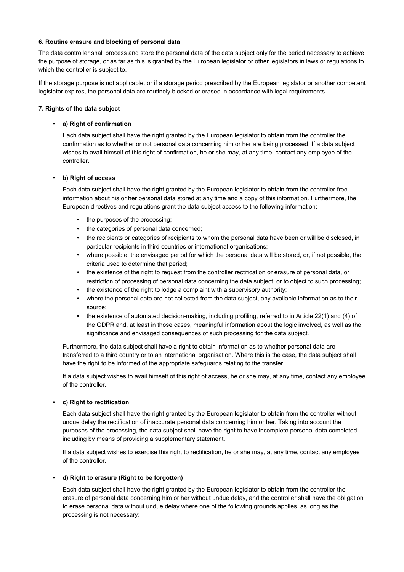#### **6. Routine erasure and blocking of personal data**

The data controller shall process and store the personal data of the data subject only for the period necessary to achieve the purpose of storage, or as far as this is granted by the European legislator or other legislators in laws or regulations to which the controller is subject to.

If the storage purpose is not applicable, or if a storage period prescribed by the European legislator or another competent legislator expires, the personal data are routinely blocked or erased in accordance with legal requirements.

#### **7. Rights of the data subject**

#### • **a) Right of confirmation**

Each data subject shall have the right granted by the European legislator to obtain from the controller the confirmation as to whether or not personal data concerning him or her are being processed. If a data subject wishes to avail himself of this right of confirmation, he or she may, at any time, contact any employee of the controller.

#### • **b) Right of access**

Each data subject shall have the right granted by the European legislator to obtain from the controller free information about his or her personal data stored at any time and a copy of this information. Furthermore, the European directives and regulations grant the data subject access to the following information:

- the purposes of the processing;
- the categories of personal data concerned;
- the recipients or categories of recipients to whom the personal data have been or will be disclosed, in particular recipients in third countries or international organisations;
- where possible, the envisaged period for which the personal data will be stored, or, if not possible, the criteria used to determine that period;
- the existence of the right to request from the controller rectification or erasure of personal data, or restriction of processing of personal data concerning the data subject, or to object to such processing;
- the existence of the right to lodge a complaint with a supervisory authority;
- where the personal data are not collected from the data subject, any available information as to their source;
- the existence of automated decision-making, including profiling, referred to in Article 22(1) and (4) of the GDPR and, at least in those cases, meaningful information about the logic involved, as well as the significance and envisaged consequences of such processing for the data subject.

Furthermore, the data subject shall have a right to obtain information as to whether personal data are transferred to a third country or to an international organisation. Where this is the case, the data subject shall have the right to be informed of the appropriate safeguards relating to the transfer.

If a data subject wishes to avail himself of this right of access, he or she may, at any time, contact any employee of the controller.

#### • **c) Right to rectification**

Each data subject shall have the right granted by the European legislator to obtain from the controller without undue delay the rectification of inaccurate personal data concerning him or her. Taking into account the purposes of the processing, the data subject shall have the right to have incomplete personal data completed, including by means of providing a supplementary statement.

If a data subject wishes to exercise this right to rectification, he or she may, at any time, contact any employee of the controller.

#### • **d) Right to erasure (Right to be forgotten)**

Each data subject shall have the right granted by the European legislator to obtain from the controller the erasure of personal data concerning him or her without undue delay, and the controller shall have the obligation to erase personal data without undue delay where one of the following grounds applies, as long as the processing is not necessary: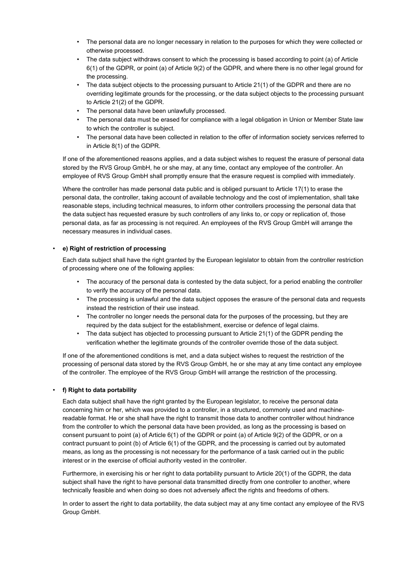- The personal data are no longer necessary in relation to the purposes for which they were collected or otherwise processed.
- The data subject withdraws consent to which the processing is based according to point (a) of Article 6(1) of the GDPR, or point (a) of Article 9(2) of the GDPR, and where there is no other legal ground for the processing.
- The data subject objects to the processing pursuant to Article 21(1) of the GDPR and there are no overriding legitimate grounds for the processing, or the data subject objects to the processing pursuant to Article 21(2) of the GDPR.
- The personal data have been unlawfully processed.
- The personal data must be erased for compliance with a legal obligation in Union or Member State law to which the controller is subject.
- The personal data have been collected in relation to the offer of information society services referred to in Article 8(1) of the GDPR.

If one of the aforementioned reasons applies, and a data subject wishes to request the erasure of personal data stored by the RVS Group GmbH, he or she may, at any time, contact any employee of the controller. An employee of RVS Group GmbH shall promptly ensure that the erasure request is complied with immediately.

Where the controller has made personal data public and is obliged pursuant to Article 17(1) to erase the personal data, the controller, taking account of available technology and the cost of implementation, shall take reasonable steps, including technical measures, to inform other controllers processing the personal data that the data subject has requested erasure by such controllers of any links to, or copy or replication of, those personal data, as far as processing is not required. An employees of the RVS Group GmbH will arrange the necessary measures in individual cases.

# • **e) Right of restriction of processing**

Each data subject shall have the right granted by the European legislator to obtain from the controller restriction of processing where one of the following applies:

- The accuracy of the personal data is contested by the data subject, for a period enabling the controller to verify the accuracy of the personal data.
- The processing is unlawful and the data subject opposes the erasure of the personal data and requests instead the restriction of their use instead.
- The controller no longer needs the personal data for the purposes of the processing, but they are required by the data subject for the establishment, exercise or defence of legal claims.
- The data subject has objected to processing pursuant to Article 21(1) of the GDPR pending the verification whether the legitimate grounds of the controller override those of the data subject.

If one of the aforementioned conditions is met, and a data subject wishes to request the restriction of the processing of personal data stored by the RVS Group GmbH, he or she may at any time contact any employee of the controller. The employee of the RVS Group GmbH will arrange the restriction of the processing.

# • **f) Right to data portability**

Each data subject shall have the right granted by the European legislator, to receive the personal data concerning him or her, which was provided to a controller, in a structured, commonly used and machinereadable format. He or she shall have the right to transmit those data to another controller without hindrance from the controller to which the personal data have been provided, as long as the processing is based on consent pursuant to point (a) of Article 6(1) of the GDPR or point (a) of Article 9(2) of the GDPR, or on a contract pursuant to point (b) of Article 6(1) of the GDPR, and the processing is carried out by automated means, as long as the processing is not necessary for the performance of a task carried out in the public interest or in the exercise of official authority vested in the controller.

Furthermore, in exercising his or her right to data portability pursuant to Article 20(1) of the GDPR, the data subject shall have the right to have personal data transmitted directly from one controller to another, where technically feasible and when doing so does not adversely affect the rights and freedoms of others.

In order to assert the right to data portability, the data subject may at any time contact any employee of the RVS Group GmbH.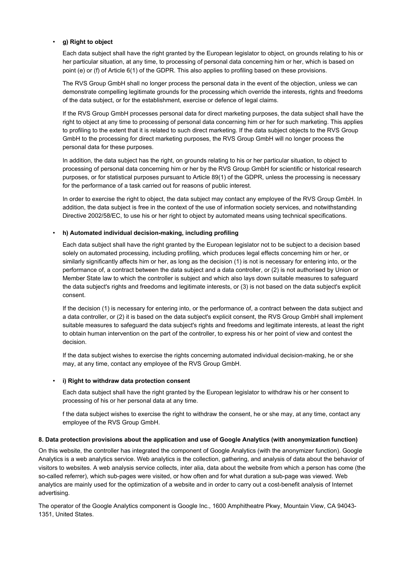#### • **g) Right to object**

Each data subject shall have the right granted by the European legislator to object, on grounds relating to his or her particular situation, at any time, to processing of personal data concerning him or her, which is based on point (e) or (f) of Article 6(1) of the GDPR. This also applies to profiling based on these provisions.

The RVS Group GmbH shall no longer process the personal data in the event of the objection, unless we can demonstrate compelling legitimate grounds for the processing which override the interests, rights and freedoms of the data subject, or for the establishment, exercise or defence of legal claims.

If the RVS Group GmbH processes personal data for direct marketing purposes, the data subject shall have the right to object at any time to processing of personal data concerning him or her for such marketing. This applies to profiling to the extent that it is related to such direct marketing. If the data subject objects to the RVS Group GmbH to the processing for direct marketing purposes, the RVS Group GmbH will no longer process the personal data for these purposes.

In addition, the data subject has the right, on grounds relating to his or her particular situation, to object to processing of personal data concerning him or her by the RVS Group GmbH for scientific or historical research purposes, or for statistical purposes pursuant to Article 89(1) of the GDPR, unless the processing is necessary for the performance of a task carried out for reasons of public interest.

In order to exercise the right to object, the data subject may contact any employee of the RVS Group GmbH. In addition, the data subject is free in the context of the use of information society services, and notwithstanding Directive 2002/58/EC, to use his or her right to object by automated means using technical specifications.

#### • **h) Automated individual decision-making, including profiling**

Each data subject shall have the right granted by the European legislator not to be subject to a decision based solely on automated processing, including profiling, which produces legal effects concerning him or her, or similarly significantly affects him or her, as long as the decision (1) is not is necessary for entering into, or the performance of, a contract between the data subject and a data controller, or (2) is not authorised by Union or Member State law to which the controller is subject and which also lays down suitable measures to safeguard the data subject's rights and freedoms and legitimate interests, or (3) is not based on the data subject's explicit consent.

If the decision (1) is necessary for entering into, or the performance of, a contract between the data subject and a data controller, or (2) it is based on the data subject's explicit consent, the RVS Group GmbH shall implement suitable measures to safeguard the data subject's rights and freedoms and legitimate interests, at least the right to obtain human intervention on the part of the controller, to express his or her point of view and contest the decision.

If the data subject wishes to exercise the rights concerning automated individual decision-making, he or she may, at any time, contact any employee of the RVS Group GmbH.

#### • **i) Right to withdraw data protection consent**

Each data subject shall have the right granted by the European legislator to withdraw his or her consent to processing of his or her personal data at any time.

f the data subject wishes to exercise the right to withdraw the consent, he or she may, at any time, contact any employee of the RVS Group GmbH.

#### **8. Data protection provisions about the application and use of Google Analytics (with anonymization function)**

On this website, the controller has integrated the component of Google Analytics (with the anonymizer function). Google Analytics is a web analytics service. Web analytics is the collection, gathering, and analysis of data about the behavior of visitors to websites. A web analysis service collects, inter alia, data about the website from which a person has come (the so-called referrer), which sub-pages were visited, or how often and for what duration a sub-page was viewed. Web analytics are mainly used for the optimization of a website and in order to carry out a cost-benefit analysis of Internet advertising.

The operator of the Google Analytics component is Google Inc., 1600 Amphitheatre Pkwy, Mountain View, CA 94043- 1351, United States.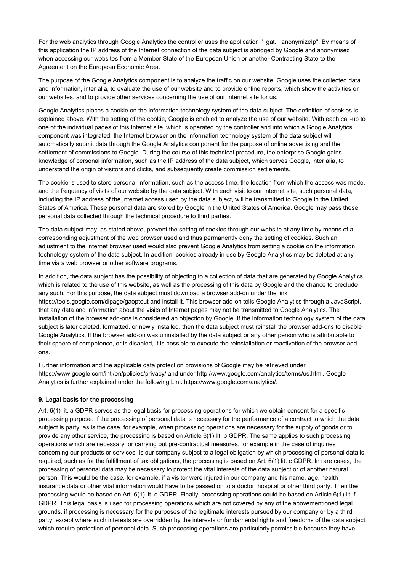For the web analytics through Google Analytics the controller uses the application "\_gat. \_anonymizeIp". By means of this application the IP address of the Internet connection of the data subject is abridged by Google and anonymised when accessing our websites from a Member State of the European Union or another Contracting State to the Agreement on the European Economic Area.

The purpose of the Google Analytics component is to analyze the traffic on our website. Google uses the collected data and information, inter alia, to evaluate the use of our website and to provide online reports, which show the activities on our websites, and to provide other services concerning the use of our Internet site for us.

Google Analytics places a cookie on the information technology system of the data subject. The definition of cookies is explained above. With the setting of the cookie, Google is enabled to analyze the use of our website. With each call-up to one of the individual pages of this Internet site, which is operated by the controller and into which a Google Analytics component was integrated, the Internet browser on the information technology system of the data subject will automatically submit data through the Google Analytics component for the purpose of online advertising and the settlement of commissions to Google. During the course of this technical procedure, the enterprise Google gains knowledge of personal information, such as the IP address of the data subject, which serves Google, inter alia, to understand the origin of visitors and clicks, and subsequently create commission settlements.

The cookie is used to store personal information, such as the access time, the location from which the access was made, and the frequency of visits of our website by the data subject. With each visit to our Internet site, such personal data, including the IP address of the Internet access used by the data subject, will be transmitted to Google in the United States of America. These personal data are stored by Google in the United States of America. Google may pass these personal data collected through the technical procedure to third parties.

The data subject may, as stated above, prevent the setting of cookies through our website at any time by means of a corresponding adjustment of the web browser used and thus permanently deny the setting of cookies. Such an adjustment to the Internet browser used would also prevent Google Analytics from setting a cookie on the information technology system of the data subject. In addition, cookies already in use by Google Analytics may be deleted at any time via a web browser or other software programs.

In addition, the data subject has the possibility of objecting to a collection of data that are generated by Google Analytics, which is related to the use of this website, as well as the processing of this data by Google and the chance to preclude any such. For this purpose, the data subject must download a browser add-on under the link https://tools.google.com/dlpage/gaoptout and install it. This browser add-on tells Google Analytics through a JavaScript, that any data and information about the visits of Internet pages may not be transmitted to Google Analytics. The installation of the browser add-ons is considered an objection by Google. If the information technology system of the data subject is later deleted, formatted, or newly installed, then the data subject must reinstall the browser add-ons to disable Google Analytics. If the browser add-on was uninstalled by the data subject or any other person who is attributable to their sphere of competence, or is disabled, it is possible to execute the reinstallation or reactivation of the browser addons.

Further information and the applicable data protection provisions of Google may be retrieved under https://www.google.com/intl/en/policies/privacy/ and under http://www.google.com/analytics/terms/us.html. Google Analytics is further explained under the following Link https://www.google.com/analytics/.

## **9. Legal basis for the processing**

Art. 6(1) lit. a GDPR serves as the legal basis for processing operations for which we obtain consent for a specific processing purpose. If the processing of personal data is necessary for the performance of a contract to which the data subject is party, as is the case, for example, when processing operations are necessary for the supply of goods or to provide any other service, the processing is based on Article 6(1) lit. b GDPR. The same applies to such processing operations which are necessary for carrying out pre-contractual measures, for example in the case of inquiries concerning our products or services. Is our company subject to a legal obligation by which processing of personal data is required, such as for the fulfillment of tax obligations, the processing is based on Art. 6(1) lit. c GDPR. In rare cases, the processing of personal data may be necessary to protect the vital interests of the data subject or of another natural person. This would be the case, for example, if a visitor were injured in our company and his name, age, health insurance data or other vital information would have to be passed on to a doctor, hospital or other third party. Then the processing would be based on Art. 6(1) lit. d GDPR. Finally, processing operations could be based on Article 6(1) lit. f GDPR. This legal basis is used for processing operations which are not covered by any of the abovementioned legal grounds, if processing is necessary for the purposes of the legitimate interests pursued by our company or by a third party, except where such interests are overridden by the interests or fundamental rights and freedoms of the data subject which require protection of personal data. Such processing operations are particularly permissible because they have